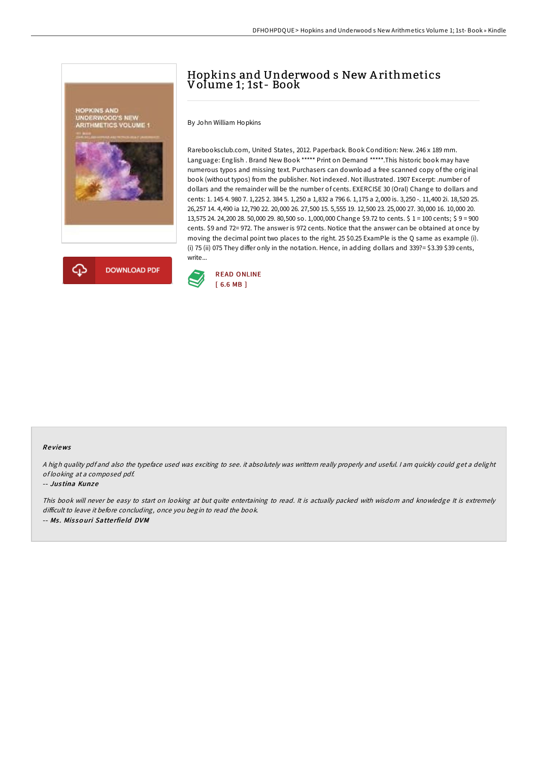



# Hopkins and Underwood s New A rithmetics Volume 1; 1st- Book

By John William Hopkins

Rarebooksclub.com, United States, 2012. Paperback. Book Condition: New. 246 x 189 mm. Language: English . Brand New Book \*\*\*\*\* Print on Demand \*\*\*\*\*.This historic book may have numerous typos and missing text. Purchasers can download a free scanned copy of the original book (without typos) from the publisher. Not indexed. Not illustrated. 1907 Excerpt: .number of dollars and the remainder will be the number of cents. EXERCISE 30 (Oral) Change to dollars and cents: 1. 145 4. 980 7. 1,225 2. 384 5. 1,250 a 1,832 a 796 6. 1,175 a 2,000 is. 3,250 -. 11,400 2i. 18,520 25. 26,257 14. 4,490 ia 12,790 22. 20,000 26. 27,500 15. 5,555 19. 12,500 23. 25,000 27. 30,000 16. 10,000 20. 13,575 24. 24,200 28. 50,000 29. 80,500 so. 1,000,000 Change \$9.72 to cents. \$ 1 = 100 cents; \$ 9 = 900 cents. \$9 and 72= 972. The answer is 972 cents. Notice that the answer can be obtained at once by moving the decimal point two places to the right. 25 \$0.25 ExamPle is the Q same as example (i). (i) 75 (ii) 075 They differ only in the notation. Hence, in adding dollars and 339?= \$3.39 \$39 cents, write...



### Re views

<sup>A</sup> high quality pdf and also the typeface used was exciting to see. it absolutely was writtern really properly and useful. <sup>I</sup> am quickly could get <sup>a</sup> delight of looking at <sup>a</sup> composed pdf.

#### -- Jus tina Kunze

This book will never be easy to start on looking at but quite entertaining to read. It is actually packed with wisdom and knowledge It is extremely difficult to leave it before concluding, once you begin to read the book. -- Ms. Missouri Satterfield DVM